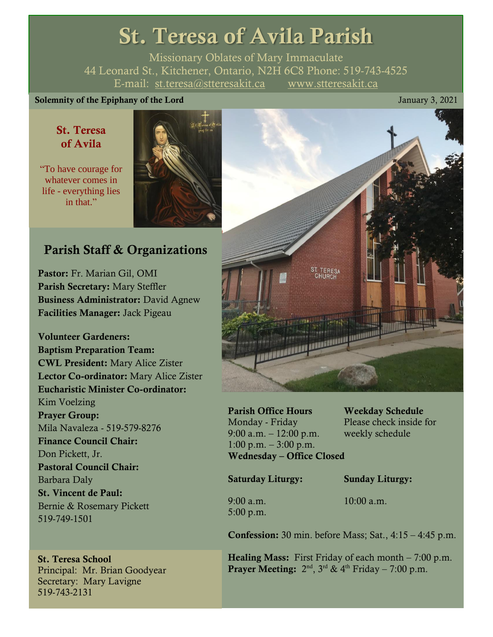# St. Teresa of Avila Parish

Missionary Oblates of Mary Immaculate 44 Leonard St., Kitchener, Ontario, N2H 6C8 Phone: 519-743-4525 E-mail: [st.teresa@stteresakit.ca](mailto:st.teresa@stteresakit.ca) [www.stteresakit.ca](http://www.stteresakit.ca/)

## Solemnity of the Epiphany of the Lord January 3, 2021

## St. Teresa of Avila

"To have courage for whatever comes in life - everything lies in that."



## Parish Staff & Organizations

Pastor: Fr. Marian Gil, OMI Parish Secretary: Mary Steffler Business Administrator: David Agnew Facilities Manager: Jack Pigeau

Volunteer Gardeners: Baptism Preparation Team: CWL President: Mary Alice Zister Lector Co-ordinator: Mary Alice Zister Eucharistic Minister Co-ordinator: Kim Voelzing Prayer Group: Mila Navaleza - 519-579-8276 Finance Council Chair: Don Pickett, Jr. Pastoral Council Chair: Barbara Daly St. Vincent de Paul: Bernie & Rosemary Pickett 519-749-1501

## St. Teresa School

Principal: Mr. Brian Goodyear Secretary: Mary Lavigne 519-743-2131



Parish Office Hours Weekday Schedule Monday - Friday Please check inside for 9:00 a.m. – 12:00 p.m. weekly schedule 1:00 p.m.  $-3:00$  p.m. Wednesday – Office Closed

Saturday Liturgy: Sunday Liturgy:

5:00 p.m.

9:00 a.m. 10:00 a.m.

**Confession:** 30 min. before Mass; Sat.,  $4:15 - 4:45$  p.m.

**Healing Mass:** First Friday of each month  $-7:00$  p.m. **Prayer Meeting:**  $2<sup>nd</sup>$ ,  $3<sup>rd</sup>$  &  $4<sup>th</sup>$  Friday – 7:00 p.m.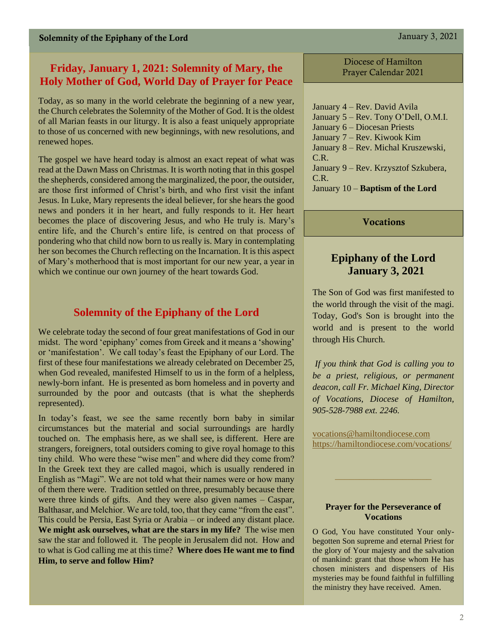## **Friday, January 1, 2021: Solemnity of Mary, the Holy Mother of God, World Day of Prayer for Peace**

Today, as so many in the world celebrate the beginning of a new year, the Church celebrates the Solemnity of the Mother of God. It is the oldest of all Marian feasts in our liturgy. It is also a feast uniquely appropriate to those of us concerned with new beginnings, with new resolutions, and renewed hopes.

The gospel we have heard today is almost an exact repeat of what was read at the Dawn Mass on Christmas. It is worth noting that in this gospel the shepherds, considered among the marginalized, the poor, the outsider, are those first informed of Christ's birth, and who first visit the infant Jesus. In Luke, Mary represents the ideal believer, for she hears the good news and ponders it in her heart, and fully responds to it. Her heart becomes the place of discovering Jesus, and who He truly is. Mary's entire life, and the Church's entire life, is centred on that process of pondering who that child now born to us really is. Mary in contemplating her son becomes the Church reflecting on the Incarnation. It is this aspect of Mary's motherhood that is most important for our new year, a year in which we continue our own journey of the heart towards God.

## **Solemnity of the Epiphany of the Lord**

We celebrate today the second of four great manifestations of God in our midst. The word 'epiphany' comes from Greek and it means a 'showing' or 'manifestation'. We call today's feast the Epiphany of our Lord. The first of these four manifestations we already celebrated on December 25, when God revealed, manifested Himself to us in the form of a helpless, newly-born infant. He is presented as born homeless and in poverty and surrounded by the poor and outcasts (that is what the shepherds represented).

In today's feast, we see the same recently born baby in similar circumstances but the material and social surroundings are hardly touched on. The emphasis here, as we shall see, is different. Here are strangers, foreigners, total outsiders coming to give royal homage to this tiny child. Who were these "wise men" and where did they come from? In the Greek text they are called magoi, which is usually rendered in English as "Magi". We are not told what their names were or how many of them there were. Tradition settled on three, presumably because there were three kinds of gifts. And they were also given names – Caspar, Balthasar, and Melchior. We are told, too, that they came "from the east". This could be Persia, East Syria or Arabia – or indeed any distant place. **We might ask ourselves, what are the stars in my life?** The wise men saw the star and followed it. The people in Jerusalem did not. How and to what is God calling me at this time? **Where does He want me to find Him, to serve and follow Him?** 

Diocese of Hamilton Prayer Calendar 2021

January 4 – Rev. David Avila January 5 – Rev. Tony O'Dell, O.M.I. January 6 – Diocesan Priests January 7 – Rev. Kiwook Kim January 8 – Rev. Michal Kruszewski, C.R. January 9 – Rev. Krzysztof Szkubera, C.R. January 10 – **Baptism of the Lord**

**Vocations** 

## **Epiphany of the Lord January 3, 2021**

The Son of God was first manifested to the world through the visit of the magi. Today, God's Son is brought into the world and is present to the world through His Church.

*If you think that God is calling you to be a priest, religious, or permanent deacon, call Fr. Michael King, Director of Vocations, Diocese of Hamilton, 905-528-7988 ext. 2246.*

[vocations@hamiltondiocese.com](mailto:vocations@hamiltondiocese.com)  <https://hamiltondiocese.com/vocations/>

#### **Prayer for the Perseverance of Vocations**

O God, You have constituted Your onlybegotten Son supreme and eternal Priest for the glory of Your majesty and the salvation of mankind: grant that those whom He has chosen ministers and dispensers of His mysteries may be found faithful in fulfilling the ministry they have received. Amen.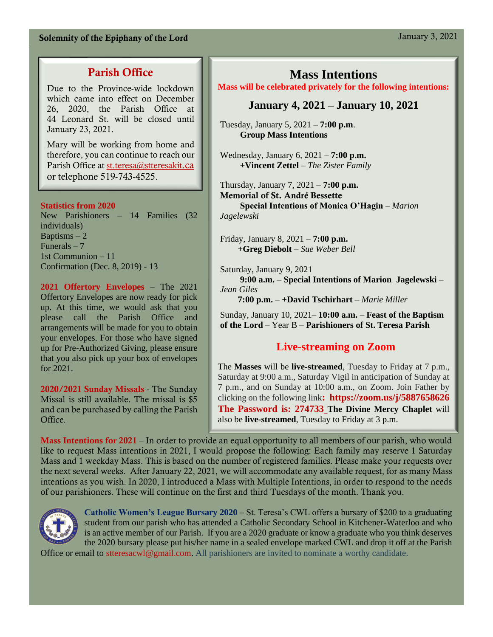## Solemnity of the Epiphany of the Lord January 3, 2021

## Parish Office

Due to the Province-wide lockdown which came into effect on December 26, 2020, the Parish Office at 44 Leonard St. will be closed until January 23, 2021.

Mary will be working from home and therefore, you can continue to reach our Parish Office at [st.teresa@stteresakit](mailto:st.teresa@stteresakit.ca)[.ca](mailto:st.teresa@stteresakit.ca) or telephone 519-743-4525.

#### **Statistics from 2020**

New Parishioners – 14 Families (32 individuals) Baptisms  $-2$ Funerals  $-7$ 1st Communion – 11 Confirmation (Dec. 8, 2019) - 13

**2021 Offertory Envelopes** – The 2021 Offertory Envelopes are now ready for pick up. At this time, we would ask that you please call the Parish Office and arrangements will be made for you to obtain your envelopes. For those who have signed up for Pre-Authorized Giving, please ensure that you also pick up your box of envelopes for 2021.

2020/2021 Sunday Missals - The Sunday Missal is still available. The missal is \$5 and can be purchased by calling the Parish Office.

## **Mass Intentions**

#### **Mass will be celebrated privately for the following intentions:**

## **January 4, 2021 – January 10, 2021**

Tuesday, January 5, 2021 – **7:00 p.m**.  **Group Mass Intentions**

Wednesday, January 6, 2021 – **7:00 p.m. +Vincent Zettel** – *The Zister Family*

Thursday, January 7, 2021 – **7:00 p.m.** Memorial of St. André Bessette  **Special Intentions of Monica O'Hagin** – *Marion Jagelewski*

Friday, January 8, 2021 – **7:00 p.m. +Greg Diebolt** – *Sue Weber Bell*

Saturday, January 9, 2021  **9:00 a.m.** – **Special Intentions of Marion Jagelewski** – *Jean Giles*

**7:00 p.m.** – **+David Tschirhart** – *Marie Miller*

Sunday, January 10, 2021– **10:00 a.m.** – **Feast of the Baptism of the Lord** – Year B – **Parishioners of St. Teresa Parish**

## **Live-streaming on Zoom**

The **Masses** will be **live-streamed**, Tuesday to Friday at 7 p.m., Saturday at 9:00 a.m., Saturday Vigil in anticipation of Sunday at 7 p.m., and on Sunday at 10:00 a.m., on Zoom. Join Father by clicking on the following link**:<https://zoom.us/j/5887658626> The Password is: 274733 The Divine Mercy Chaplet** will also be **live-streamed**, Tuesday to Friday at 3 p.m.

Mass Intentions for 2021 – In order to provide an equal opportunity to all members of our parish, who would like to request Mass intentions in 2021, I would propose the following: Each family may reserve 1 Saturday Mass and 1 weekday Mass. This is based on the number of registered families. Please make your requests over the next several weeks. After January 22, 2021, we will accommodate any available request, for as many Mass intentions as you wish. In 2020, I introduced a Mass with Multiple Intentions, in order to respond to the needs of our parishioners. These will continue on the first and third Tuesdays of the month. Thank you.



**Catholic Women's League Bursary 2020** – St. Teresa's CWL offers a bursary of \$200 to a graduating student from our parish who has attended a Catholic Secondary School in Kitchener-Waterloo and who is an active member of our Parish. If you are a 2020 graduate or know a graduate who you think deserves the 2020 bursary please put his/her name in a sealed envelope marked CWL and drop it off at the Parish

Office or email to [stteresacwl@gmail.com.](mailto:stteresacwl@gmail.com) All parishioners are invited to nominate a worthy candidate.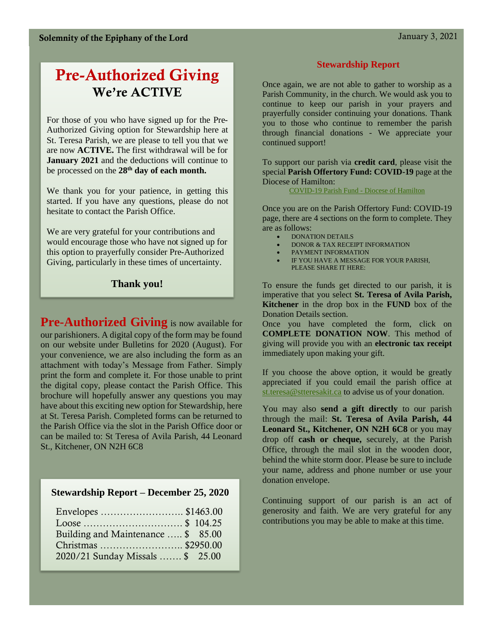# Pre-Authorized Giving We're ACTIVE

For those of you who have signed up for the Pre-Authorized Giving option for Stewardship here at St. Teresa Parish, we are please to tell you that we are now **ACTIVE.** The first withdrawal will be for **January 2021** and the deductions will continue to be processed on the **28th day of each month.**

We thank you for your patience, in getting this started. If you have any questions, please do not hesitate to contact the Parish Office.

We are very grateful for your contributions and would encourage those who have not signed up for this option to prayerfully consider Pre-Authorized Giving, particularly in these times of uncertainty.

## **Thank you!**

**Pre-Authorized Giving** is now available for our parishioners. A digital copy of the form may be found on our website under Bulletins for 2020 (August). For your convenience, we are also including the form as an attachment with today's Message from Father. Simply print the form and complete it. For those unable to print the digital copy, please contact the Parish Office. This brochure will hopefully answer any questions you may have about this exciting new option for Stewardship, here at St. Teresa Parish. Completed forms can be returned to the Parish Office via the slot in the Parish Office door or can be mailed to: St Teresa of Avila Parish, 44 Leonard St., Kitchener, ON N2H 6C8

## **Stewardship Report – December 25, 2020**

| Envelopes \$1463.00                |  |
|------------------------------------|--|
|                                    |  |
| Building and Maintenance  \$ 85.00 |  |
|                                    |  |
| 2020/21 Sunday Missals  \$ 25.00   |  |

#### **Stewardship Report**

Once again, we are not able to gather to worship as a Parish Community, in the church. We would ask you to continue to keep our parish in your prayers and prayerfully consider continuing your donations. Thank you to those who continue to remember the parish through financial donations - We appreciate your continued support!

To support our parish via **credit card**, please visit the special **Parish Offertory Fund: COVID-19** page at the Diocese of Hamilton:

[COVID-19 Parish Fund -](https://hamiltondiocese.com/covid19parishfund/) Diocese of Hamilton

Once you are on the Parish Offertory Fund: COVID-19 page, there are 4 sections on the form to complete. They are as follows:

- DONATION DETAILS
- DONOR & TAX RECEIPT INFORMATION
- PAYMENT INFORMATION
- IF YOU HAVE A MESSAGE FOR YOUR PARISH, PLEASE SHARE IT HERE:

To ensure the funds get directed to our parish, it is imperative that you select **St. Teresa of Avila Parish, Kitchener** in the drop box in the **FUND** box of the Donation Details section.

Once you have completed the form, click on **COMPLETE DONATION NOW**. This method of giving will provide you with an **electronic tax receipt**  immediately upon making your gift.

If you choose the above option, it would be greatly appreciated if you could email the parish office at [st.teresa@stteresakit.ca](mailto:st.teresa@stteresakit.ca) to advise us of your donation.

You may also **send a gift directly** to our parish through the mail: **St. Teresa of Avila Parish, 44 Leonard St., Kitchener, ON N2H 6C8** or you may drop off **cash or cheque,** securely, at the Parish Office, through the mail slot in the wooden door, behind the white storm door. Please be sure to include your name, address and phone number or use your donation envelope.

Continuing support of our parish is an act of generosity and faith. We are very grateful for any contributions you may be able to make at this time.